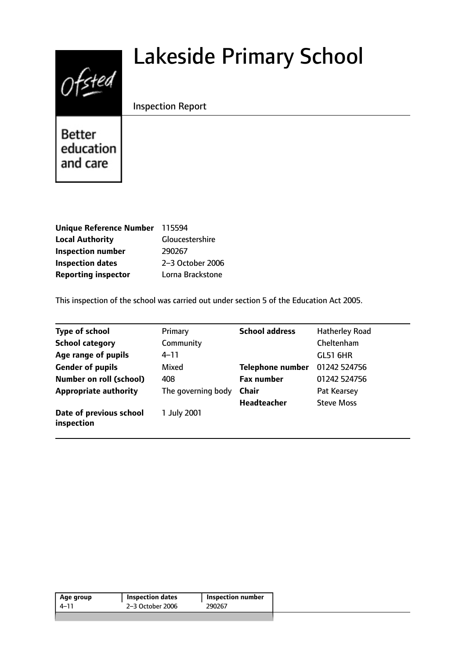# $0$ fsted

# Lakeside Primary School

Inspection Report

**Better** education and care

| Unique Reference Number 115594 |                  |
|--------------------------------|------------------|
| <b>Local Authority</b>         | Gloucestershire  |
| <b>Inspection number</b>       | 290267           |
| <b>Inspection dates</b>        | 2-3 October 2006 |
| <b>Reporting inspector</b>     | Lorna Brackstone |

This inspection of the school was carried out under section 5 of the Education Act 2005.

| <b>Type of school</b>                 | Primary            | <b>School address</b>   | <b>Hatherley Road</b> |
|---------------------------------------|--------------------|-------------------------|-----------------------|
| <b>School category</b>                | Community          |                         | Cheltenham            |
| Age range of pupils                   | $4 - 11$           |                         | <b>GL51 6HR</b>       |
| <b>Gender of pupils</b>               | Mixed              | <b>Telephone number</b> | 01242 524756          |
| <b>Number on roll (school)</b>        | 408                | <b>Fax number</b>       | 01242 524756          |
| <b>Appropriate authority</b>          | The governing body | <b>Chair</b>            | Pat Kearsey           |
|                                       |                    | <b>Headteacher</b>      | <b>Steve Moss</b>     |
| Date of previous school<br>inspection | 1 July 2001        |                         |                       |

| 2-3 October 2006<br>290267<br>4–11 | Age group | <b>Inspection dates</b> | Inspection number |
|------------------------------------|-----------|-------------------------|-------------------|
|                                    |           |                         |                   |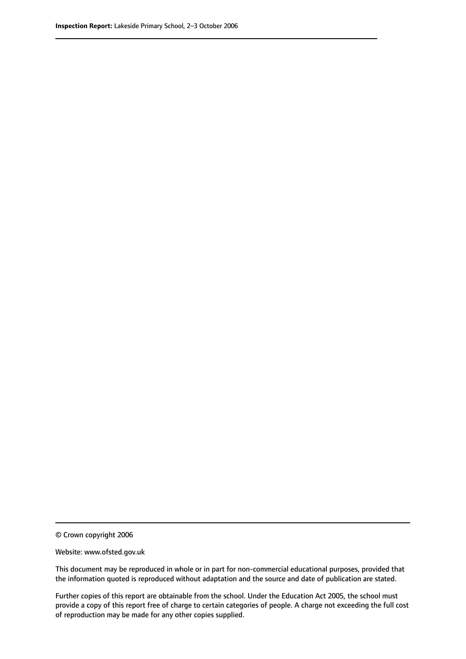<sup>©</sup> Crown copyright 2006

Website: www.ofsted.gov.uk

This document may be reproduced in whole or in part for non-commercial educational purposes, provided that the information quoted is reproduced without adaptation and the source and date of publication are stated.

Further copies of this report are obtainable from the school. Under the Education Act 2005, the school must provide a copy of this report free of charge to certain categories of people. A charge not exceeding the full cost of reproduction may be made for any other copies supplied.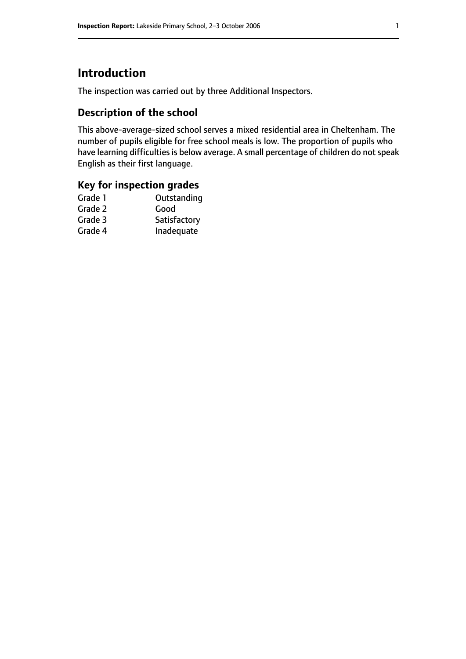# **Introduction**

The inspection was carried out by three Additional Inspectors.

# **Description of the school**

This above-average-sized school serves a mixed residential area in Cheltenham. The number of pupils eligible for free school meals is low. The proportion of pupils who have learning difficulties is below average. A small percentage of children do not speak English as their first language.

#### **Key for inspection grades**

| Outstanding  |
|--------------|
| Good         |
| Satisfactory |
| Inadequate   |
|              |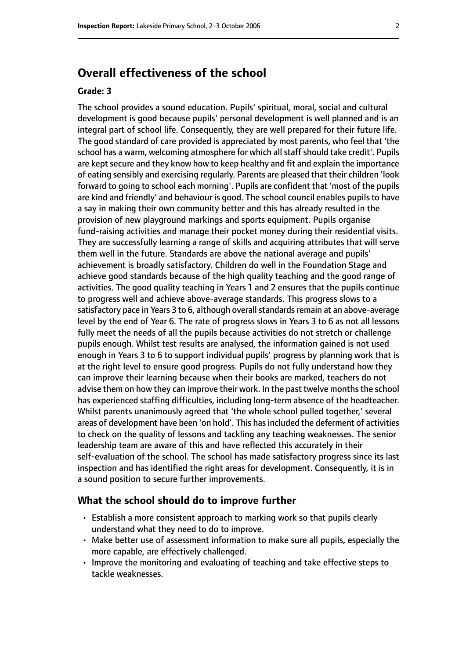# **Overall effectiveness of the school**

#### **Grade: 3**

The school provides a sound education. Pupils' spiritual, moral, social and cultural development is good because pupils' personal development is well planned and is an integral part of school life. Consequently, they are well prepared for their future life. The good standard of care provided is appreciated by most parents, who feel that 'the school has a warm, welcoming atmosphere for which all staff should take credit'. Pupils are kept secure and they know how to keep healthy and fit and explain the importance of eating sensibly and exercising regularly. Parents are pleased that their children 'look forward to going to school each morning'. Pupils are confident that 'most of the pupils are kind and friendly' and behaviour is good. The school council enables pupils to have a say in making their own community better and this has already resulted in the provision of new playground markings and sports equipment. Pupils organise fund-raising activities and manage their pocket money during their residential visits. They are successfully learning a range of skills and acquiring attributes that will serve them well in the future. Standards are above the national average and pupils' achievement is broadly satisfactory. Children do well in the Foundation Stage and achieve good standards because of the high quality teaching and the good range of activities. The good quality teaching in Years 1 and 2 ensures that the pupils continue to progress well and achieve above-average standards. This progress slows to a satisfactory pace in Years 3 to 6, although overall standards remain at an above-average level by the end of Year 6. The rate of progress slows in Years 3 to 6 as not all lessons fully meet the needs of all the pupils because activities do not stretch or challenge pupils enough. Whilst test results are analysed, the information gained is not used enough in Years 3 to 6 to support individual pupils' progress by planning work that is at the right level to ensure good progress. Pupils do not fully understand how they can improve their learning because when their books are marked, teachers do not advise them on how they can improve their work. In the past twelve months the school has experienced staffing difficulties, including long-term absence of the headteacher. Whilst parents unanimously agreed that 'the whole school pulled together,' several areas of development have been 'on hold'. This has included the deferment of activities to check on the quality of lessons and tackling any teaching weaknesses. The senior leadership team are aware of this and have reflected this accurately in their self-evaluation of the school. The school has made satisfactory progress since its last inspection and has identified the right areas for development. Consequently, it is in a sound position to secure further improvements.

#### **What the school should do to improve further**

- Establish a more consistent approach to marking work so that pupils clearly understand what they need to do to improve.
- Make better use of assessment information to make sure all pupils, especially the more capable, are effectively challenged.
- Improve the monitoring and evaluating of teaching and take effective steps to tackle weaknesses.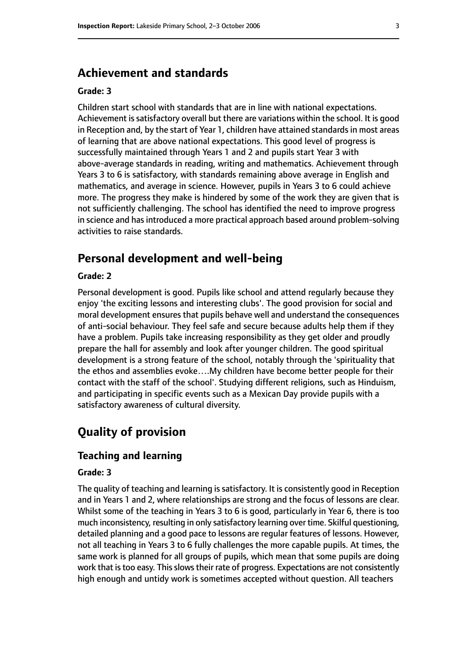# **Achievement and standards**

#### **Grade: 3**

Children start school with standards that are in line with national expectations. Achievement is satisfactory overall but there are variations within the school. It is good in Reception and, by the start of Year 1, children have attained standards in most areas of learning that are above national expectations. This good level of progress is successfully maintained through Years 1 and 2 and pupils start Year 3 with above-average standards in reading, writing and mathematics. Achievement through Years 3 to 6 is satisfactory, with standards remaining above average in English and mathematics, and average in science. However, pupils in Years 3 to 6 could achieve more. The progress they make is hindered by some of the work they are given that is not sufficiently challenging. The school has identified the need to improve progress in science and has introduced a more practical approach based around problem-solving activities to raise standards.

# **Personal development and well-being**

#### **Grade: 2**

Personal development is good. Pupils like school and attend regularly because they enjoy 'the exciting lessons and interesting clubs'. The good provision for social and moral development ensures that pupils behave well and understand the consequences of anti-social behaviour. They feel safe and secure because adults help them if they have a problem. Pupils take increasing responsibility as they get older and proudly prepare the hall for assembly and look after younger children. The good spiritual development is a strong feature of the school, notably through the 'spirituality that the ethos and assemblies evoke….My children have become better people for their contact with the staff of the school'. Studying different religions, such as Hinduism, and participating in specific events such as a Mexican Day provide pupils with a satisfactory awareness of cultural diversity.

# **Quality of provision**

#### **Teaching and learning**

#### **Grade: 3**

The quality of teaching and learning is satisfactory. It is consistently good in Reception and in Years 1 and 2, where relationships are strong and the focus of lessons are clear. Whilst some of the teaching in Years 3 to 6 is good, particularly in Year 6, there is too much inconsistency, resulting in only satisfactory learning over time. Skilful questioning, detailed planning and a good pace to lessons are regular features of lessons. However, not all teaching in Years 3 to 6 fully challenges the more capable pupils. At times, the same work is planned for all groups of pupils, which mean that some pupils are doing work that is too easy. This slows their rate of progress. Expectations are not consistently high enough and untidy work is sometimes accepted without question. All teachers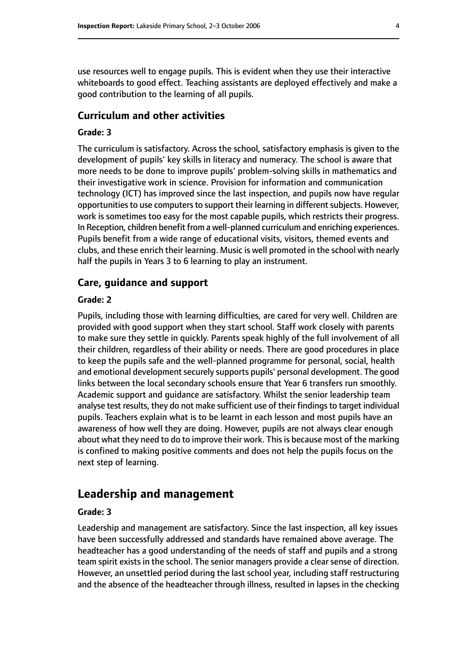use resources well to engage pupils. This is evident when they use their interactive whiteboards to good effect. Teaching assistants are deployed effectively and make a good contribution to the learning of all pupils.

#### **Curriculum and other activities**

#### **Grade: 3**

The curriculum is satisfactory. Across the school, satisfactory emphasis is given to the development of pupils' key skills in literacy and numeracy. The school is aware that more needs to be done to improve pupils' problem-solving skills in mathematics and their investigative work in science. Provision for information and communication technology (ICT) has improved since the last inspection, and pupils now have regular opportunities to use computers to support their learning in different subjects. However, work is sometimes too easy for the most capable pupils, which restricts their progress. In Reception, children benefit from a well-planned curriculum and enriching experiences. Pupils benefit from a wide range of educational visits, visitors, themed events and clubs, and these enrich their learning. Music is well promoted in the school with nearly half the pupils in Years 3 to 6 learning to play an instrument.

#### **Care, guidance and support**

#### **Grade: 2**

Pupils, including those with learning difficulties, are cared for very well. Children are provided with good support when they start school. Staff work closely with parents to make sure they settle in quickly. Parents speak highly of the full involvement of all their children, regardless of their ability or needs. There are good procedures in place to keep the pupils safe and the well-planned programme for personal, social, health and emotional development securely supports pupils' personal development. The good links between the local secondary schools ensure that Year 6 transfers run smoothly. Academic support and guidance are satisfactory. Whilst the senior leadership team analyse test results, they do not make sufficient use of their findings to target individual pupils. Teachers explain what is to be learnt in each lesson and most pupils have an awareness of how well they are doing. However, pupils are not always clear enough about what they need to do to improve their work. This is because most of the marking is confined to making positive comments and does not help the pupils focus on the next step of learning.

#### **Leadership and management**

#### **Grade: 3**

Leadership and management are satisfactory. Since the last inspection, all key issues have been successfully addressed and standards have remained above average. The headteacher has a good understanding of the needs of staff and pupils and a strong team spirit exists in the school. The senior managers provide a clear sense of direction. However, an unsettled period during the last school year, including staff restructuring and the absence of the headteacher through illness, resulted in lapses in the checking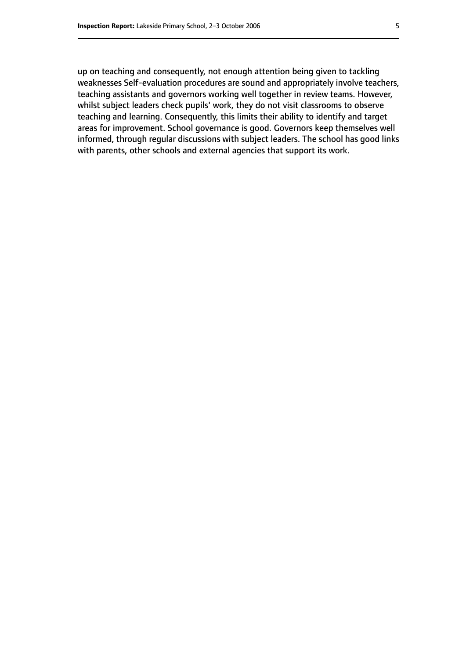up on teaching and consequently, not enough attention being given to tackling weaknesses Self-evaluation procedures are sound and appropriately involve teachers, teaching assistants and governors working well together in review teams. However, whilst subject leaders check pupils' work, they do not visit classrooms to observe teaching and learning. Consequently, this limits their ability to identify and target areas for improvement. School governance is good. Governors keep themselves well informed, through regular discussions with subject leaders. The school has good links with parents, other schools and external agencies that support its work.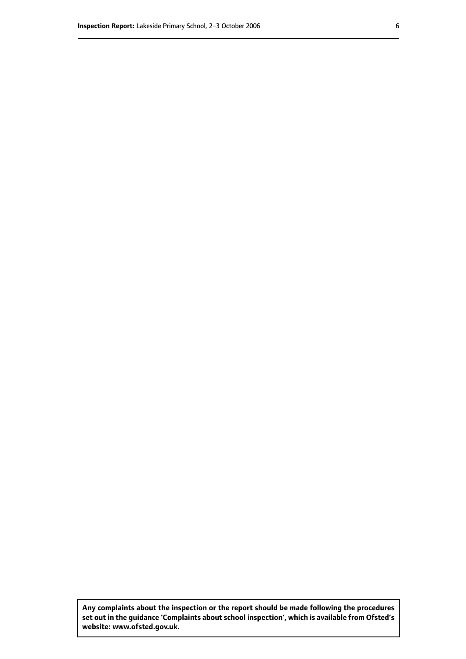**Any complaints about the inspection or the report should be made following the procedures set out inthe guidance 'Complaints about school inspection', whichis available from Ofsted's website: www.ofsted.gov.uk.**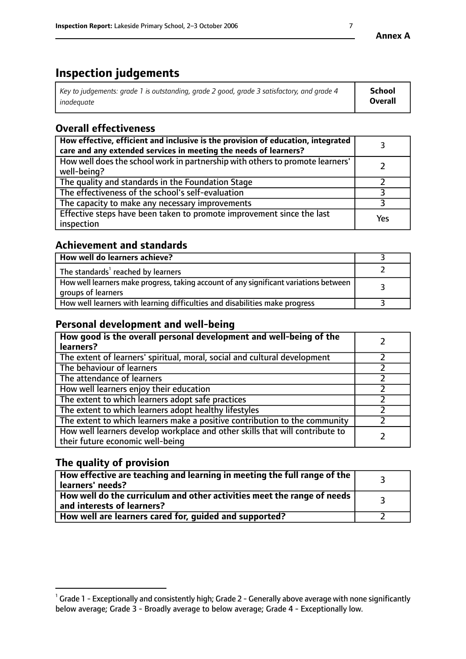# **Inspection judgements**

| $^{\circ}$ Key to judgements: grade 1 is outstanding, grade 2 good, grade 3 satisfactory, and grade 4 $^{\circ}$ | School         |
|------------------------------------------------------------------------------------------------------------------|----------------|
| inadequate                                                                                                       | <b>Overall</b> |

# **Overall effectiveness**

| How effective, efficient and inclusive is the provision of education, integrated<br>care and any extended services in meeting the needs of learners? |     |
|------------------------------------------------------------------------------------------------------------------------------------------------------|-----|
| How well does the school work in partnership with others to promote learners'<br>well-being?                                                         |     |
| The quality and standards in the Foundation Stage                                                                                                    |     |
| The effectiveness of the school's self-evaluation                                                                                                    |     |
| The capacity to make any necessary improvements                                                                                                      |     |
| Effective steps have been taken to promote improvement since the last<br>inspection                                                                  | Yes |

## **Achievement and standards**

| How well do learners achieve?                                                                               |  |
|-------------------------------------------------------------------------------------------------------------|--|
| The standards <sup>1</sup> reached by learners                                                              |  |
| How well learners make progress, taking account of any significant variations between<br>groups of learners |  |
| How well learners with learning difficulties and disabilities make progress                                 |  |

# **Personal development and well-being**

| How good is the overall personal development and well-being of the<br>learners?                                  |  |
|------------------------------------------------------------------------------------------------------------------|--|
| The extent of learners' spiritual, moral, social and cultural development                                        |  |
| The behaviour of learners                                                                                        |  |
| The attendance of learners                                                                                       |  |
| How well learners enjoy their education                                                                          |  |
| The extent to which learners adopt safe practices                                                                |  |
| The extent to which learners adopt healthy lifestyles                                                            |  |
| The extent to which learners make a positive contribution to the community                                       |  |
| How well learners develop workplace and other skills that will contribute to<br>their future economic well-being |  |

# **The quality of provision**

| $\Box$ How effective are teaching and learning in meeting the full range of the $\Box$<br>  learners' needs?        |  |
|---------------------------------------------------------------------------------------------------------------------|--|
| $\mid$ How well do the curriculum and other activities meet the range of needs<br>$\mid$ and interests of learners? |  |
| How well are learners cared for, guided and supported?                                                              |  |

 $^1$  Grade 1 - Exceptionally and consistently high; Grade 2 - Generally above average with none significantly below average; Grade 3 - Broadly average to below average; Grade 4 - Exceptionally low.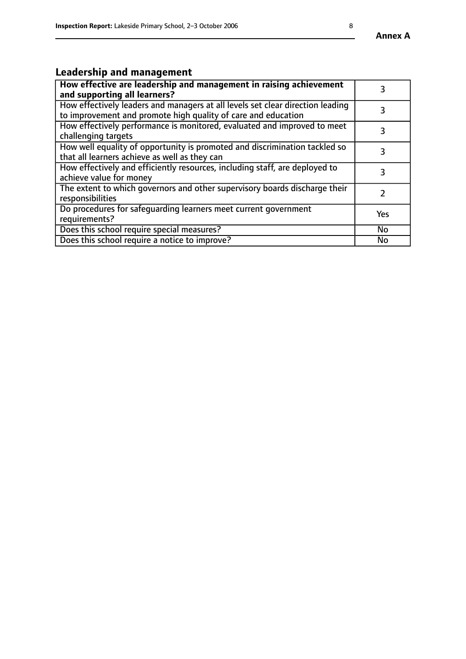#### **Annex A**

# **Leadership and management**

| How effective are leadership and management in raising achievement<br>and supporting all learners?                                              |           |
|-------------------------------------------------------------------------------------------------------------------------------------------------|-----------|
| How effectively leaders and managers at all levels set clear direction leading<br>to improvement and promote high quality of care and education |           |
| How effectively performance is monitored, evaluated and improved to meet<br>challenging targets                                                 | 3         |
| How well equality of opportunity is promoted and discrimination tackled so<br>that all learners achieve as well as they can                     | 3         |
| How effectively and efficiently resources, including staff, are deployed to<br>achieve value for money                                          | 3         |
| The extent to which governors and other supervisory boards discharge their<br>responsibilities                                                  |           |
| Do procedures for safequarding learners meet current government<br>requirements?                                                                | Yes       |
| Does this school require special measures?                                                                                                      | No        |
| Does this school require a notice to improve?                                                                                                   | <b>No</b> |